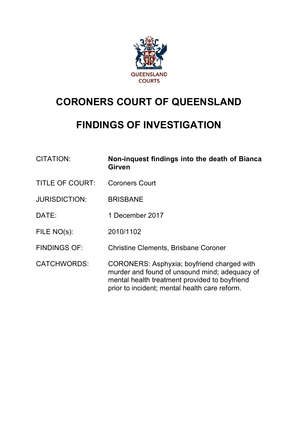

# **CORONERS COURT OF QUEENSLAND**

## **FINDINGS OF INVESTIGATION**

| <b>CITATION:</b>       | Non-inquest findings into the death of Bianca<br><b>Girven</b>                                                                                                                                |
|------------------------|-----------------------------------------------------------------------------------------------------------------------------------------------------------------------------------------------|
| <b>TITLE OF COURT:</b> | <b>Coroners Court</b>                                                                                                                                                                         |
| <b>JURISDICTION:</b>   | <b>BRISBANE</b>                                                                                                                                                                               |
| DATE:                  | 1 December 2017                                                                                                                                                                               |
| FILE NO(s):            | 2010/1102                                                                                                                                                                                     |
| <b>FINDINGS OF:</b>    | <b>Christine Clements, Brisbane Coroner</b>                                                                                                                                                   |
| <b>CATCHWORDS:</b>     | CORONERS: Asphyxia; boyfriend charged with<br>murder and found of unsound mind; adequacy of<br>mental health treatment provided to boyfriend<br>prior to incident; mental health care reform. |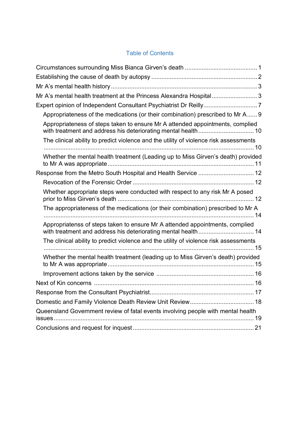### Table of Contents

<span id="page-1-0"></span>

| Mr A's mental health treatment at the Princess Alexandra Hospital 3                                                                           |
|-----------------------------------------------------------------------------------------------------------------------------------------------|
| Expert opinion of Independent Consultant Psychiatrist Dr Reilly7                                                                              |
| Appropriateness of the medications (or their combination) prescribed to Mr A 9                                                                |
| Appropriateness of steps taken to ensure Mr A attended appointments, complied                                                                 |
| The clinical ability to predict violence and the utility of violence risk assessments                                                         |
| Whether the mental health treatment (Leading up to Miss Girven's death) provided                                                              |
| Response from the Metro South Hospital and Health Service  12                                                                                 |
|                                                                                                                                               |
| Whether appropriate steps were conducted with respect to any risk Mr A posed                                                                  |
| The appropriateness of the medications (or their combination) prescribed to Mr A                                                              |
| Appropriatenss of steps taken to ensure Mr A attended appointments, complied<br>with treatment and address his deteriorating mental health 14 |
| The clinical ability to predict violence and the utility of violence risk assessments                                                         |
| Whether the mental health treatment (leading up to Miss Girven's death) provided                                                              |
|                                                                                                                                               |
|                                                                                                                                               |
|                                                                                                                                               |
|                                                                                                                                               |
| Queensland Government review of fatal events involving people with mental health                                                              |
|                                                                                                                                               |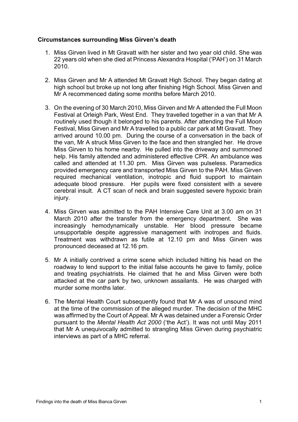#### **Circumstances surrounding Miss Girven's death**

- 1. Miss Girven lived in Mt Gravatt with her sister and two year old child. She was 22 years old when she died at Princess Alexandra Hospital ('PAH') on 31 March 2010.
- 2. Miss Girven and Mr A attended Mt Gravatt High School. They began dating at high school but broke up not long after finishing High School. Miss Girven and Mr A recommenced dating some months before March 2010.
- 3. On the evening of 30 March 2010, Miss Girven and Mr A attended the Full Moon Festival at Orleigh Park, West End. They travelled together in a van that Mr A routinely used though it belonged to his parents. After attending the Full Moon Festival, Miss Girven and Mr A travelled to a public car park at Mt Gravatt. They arrived around 10.00 pm. During the course of a conversation in the back of the van, Mr A struck Miss Girven to the face and then strangled her. He drove Miss Girven to his home nearby. He pulled into the driveway and summoned help. His family attended and administered effective CPR. An ambulance was called and attended at 11.30 pm. Miss Girven was pulseless. Paramedics provided emergency care and transported Miss Girven to the PAH. Miss Girven required mechanical ventilation, inotropic and fluid support to maintain adequate blood pressure. Her pupils were fixed consistent with a severe cerebral insult. A CT scan of neck and brain suggested severe hypoxic brain injury.
- 4. Miss Girven was admitted to the PAH Intensive Care Unit at 3.00 am on 31 March 2010 after the transfer from the emergency department. She was increasingly hemodynamically unstable. Her blood pressure became unsupportable despite aggressive management with inotropes and fluids. Treatment was withdrawn as futile at 12.10 pm and Miss Girven was pronounced deceased at 12.16 pm.
- 5. Mr A initially contrived a crime scene which included hitting his head on the roadway to lend support to the initial false accounts he gave to family, police and treating psychiatrists. He claimed that he and Miss Girven were both attacked at the car park by two, unknown assailants. He was charged with murder some months later.
- 6. The Mental Health Court subsequently found that Mr A was of unsound mind at the time of the commission of the alleged murder. The decision of the MHC was affirmed by the Court of Appeal. Mr A was detained under a Forensic Order pursuant to the *Mental Health Act 2000* ('the Act'). It was not until May 2011 that Mr A unequivocally admitted to strangling Miss Girven during psychiatric interviews as part of a MHC referral.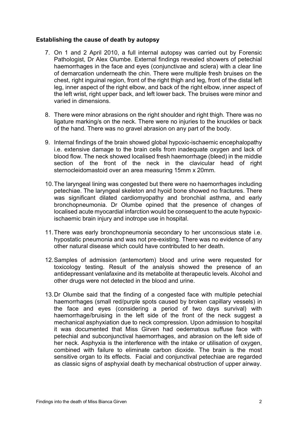#### **Establishing the cause of death by autopsy**

- 7. On 1 and 2 April 2010, a full internal autopsy was carried out by Forensic Pathologist, Dr Alex Olumbe. External findings revealed showers of petechial haemorrhages in the face and eyes (conjunctivae and sclera) with a clear line of demarcation underneath the chin. There were multiple fresh bruises on the chest, right inguinal region, front of the right thigh and leg, front of the distal left leg, inner aspect of the right elbow, and back of the right elbow, inner aspect of the left wrist, right upper back, and left lower back. The bruises were minor and varied in dimensions.
- 8. There were minor abrasions on the right shoulder and right thigh. There was no ligature marking/s on the neck. There were no injuries to the knuckles or back of the hand. There was no gravel abrasion on any part of the body.
- 9. Internal findings of the brain showed global hypoxic-ischaemic encephalopathy i.e. extensive damage to the brain cells from inadequate oxygen and lack of blood flow. The neck showed localised fresh haemorrhage (bleed) in the middle section of the front of the neck in the clavicular head of right sternocleidomastoid over an area measuring 15mm x 20mm.
- 10.The laryngeal lining was congested but there were no haemorrhages including petechiae. The laryngeal skeleton and hyoid bone showed no fractures. There was significant dilated cardiomyopathy and bronchial asthma, and early bronchopneumonia. Dr Olumbe opined that the presence of changes of localised acute myocardial infarction would be consequent to the acute hypoxicischaemic brain injury and inotrope use in hospital.
- 11.There was early bronchopneumonia secondary to her unconscious state i.e. hypostatic pneumonia and was not pre-existing. There was no evidence of any other natural disease which could have contributed to her death.
- 12.Samples of admission (antemortem) blood and urine were requested for toxicology testing. Result of the analysis showed the presence of an antidepressant venlafaxine and its metabolite at therapeutic levels. Alcohol and other drugs were not detected in the blood and urine.
- 13.Dr Olumbe said that the finding of a congested face with multiple petechial haemorrhages (small red/purple spots caused by broken capillary vessels) in the face and eyes (considering a period of two days survival) with haemorrhage/bruising in the left side of the front of the neck suggest a mechanical asphyxiation due to neck compression. Upon admission to hospital it was documented that Miss Girven had oedematous suffuse face with petechial and subconjunctival haemorrhages, and abrasion on the left side of her neck. Asphyxia is the interference with the intake or utilisation of oxygen, combined with failure to eliminate carbon dioxide. The brain is the most sensitive organ to its effects. Facial and conjunctival petechiae are regarded as classic signs of asphyxial death by mechanical obstruction of upper airway.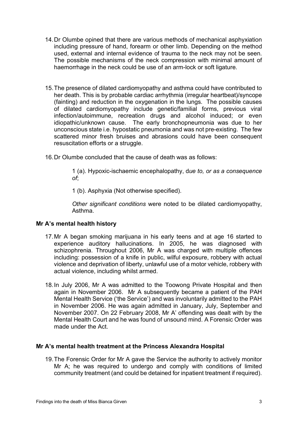- 14.Dr Olumbe opined that there are various methods of mechanical asphyxiation including pressure of hand, forearm or other limb. Depending on the method used, external and internal evidence of trauma to the neck may not be seen. The possible mechanisms of the neck compression with minimal amount of haemorrhage in the neck could be use of an arm-lock or soft ligature.
- 15.The presence of dilated cardiomyopathy and asthma could have contributed to her death. This is by probable cardiac arrhythmia (irregular heartbeat)/syncope (fainting) and reduction in the oxygenation in the lungs. The possible causes of dilated cardiomyopathy include genetic/familial forms, previous viral infection/autoimmune, recreation drugs and alcohol induced; or even idiopathic/unknown cause. The early bronchopneumonia was due to her unconscious state i.e. hypostatic pneumonia and was not pre-existing. The few scattered minor fresh bruises and abrasions could have been consequent resuscitation efforts or a struggle.
- 16.Dr Olumbe concluded that the cause of death was as follows:

1 (a). Hypoxic-ischaemic encephalopathy, d*ue to, or as a consequence of*;

1 (b). Asphyxia (Not otherwise specified).

*Other significant conditions* were noted to be dilated cardiomyopathy, Asthma.

#### **Mr A's mental health history**

- 17.Mr A began smoking marijuana in his early teens and at age 16 started to experience auditory hallucinations. In 2005, he was diagnosed with schizophrenia. Throughout 2006, Mr A was charged with multiple offences including: possession of a knife in public, wilful exposure, robbery with actual violence and deprivation of liberty, unlawful use of a motor vehicle, robbery with actual violence, including whilst armed.
- 18.In July 2006, Mr A was admitted to the Toowong Private Hospital and then again in November 2006. Mr A subsequently became a patient of the PAH Mental Health Service ('the Service') and was involuntarily admitted to the PAH in November 2006. He was again admitted in January, July, September and November 2007. On 22 February 2008, Mr A' offending was dealt with by the Mental Health Court and he was found of unsound mind. A Forensic Order was made under the Act.

#### **Mr A's mental health treatment at the Princess Alexandra Hospital**

19.The Forensic Order for Mr A gave the Service the authority to actively monitor Mr A; he was required to undergo and comply with conditions of limited community treatment (and could be detained for inpatient treatment if required).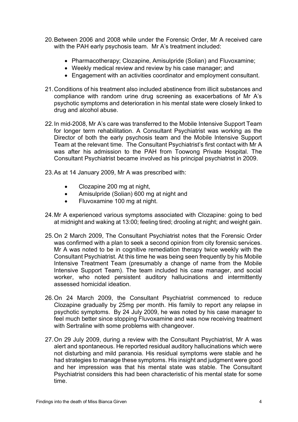- 20.Between 2006 and 2008 while under the Forensic Order, Mr A received care with the PAH early psychosis team. Mr A's treatment included:
	- Pharmacotherapy; Clozapine, Amisulpride (Solian) and Fluvoxamine;
	- Weekly medical review and review by his case manager; and
	- Engagement with an activities coordinator and employment consultant.
- 21.Conditions of his treatment also included abstinence from illicit substances and compliance with random urine drug screening as exacerbations of Mr A's psychotic symptoms and deterioration in his mental state were closely linked to drug and alcohol abuse.
- 22.In mid-2008, Mr A's care was transferred to the Mobile Intensive Support Team for longer term rehabilitation. A Consultant Psychiatrist was working as the Director of both the early psychosis team and the Mobile Intensive Support Team at the relevant time. The Consultant Psychiatrist's first contact with Mr A was after his admission to the PAH from Toowong Private Hospital. The Consultant Psychiatrist became involved as his principal psychiatrist in 2009.
- 23.As at 14 January 2009, Mr A was prescribed with:
	- Clozapine 200 mg at night,
	- Amisulpride (Solian) 600 mg at night and
	- Fluvoxamine 100 mg at night.
- 24.Mr A experienced various symptoms associated with Clozapine: going to bed at midnight and waking at 13:00; feeling tired; drooling at night; and weight gain.
- 25.On 2 March 2009, The Consultant Psychiatrist notes that the Forensic Order was confirmed with a plan to seek a second opinion from city forensic services. Mr A was noted to be in cognitive remediation therapy twice weekly with the Consultant Psychiatrist. At this time he was being seen frequently by his Mobile Intensive Treatment Team (presumably a change of name from the Mobile Intensive Support Team). The team included his case manager, and social worker, who noted persistent auditory hallucinations and intermittently assessed homicidal ideation.
- 26.On 24 March 2009, the Consultant Psychiatrist commenced to reduce Clozapine gradually by 25mg per month. His family to report any relapse in psychotic symptoms. By 24 July 2009, he was noted by his case manager to feel much better since stopping Fluvoxamine and was now receiving treatment with Sertraline with some problems with changeover.
- 27.On 29 July 2009, during a review with the Consultant Psychiatrist, Mr A was alert and spontaneous. He reported residual auditory hallucinations which were not disturbing and mild paranoia. His residual symptoms were stable and he had strategies to manage these symptoms. His insight and judgment were good and her impression was that his mental state was stable. The Consultant Psychiatrist considers this had been characteristic of his mental state for some time.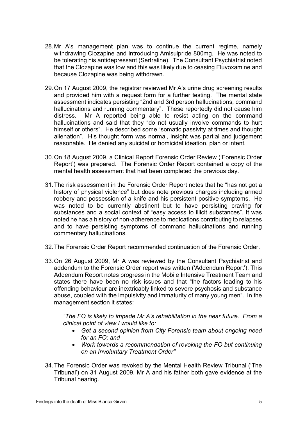- 28.Mr A's management plan was to continue the current regime, namely withdrawing Clozapine and introducing Amisulpride 800mg. He was noted to be tolerating his antidepressant (Sertraline). The Consultant Psychiatrist noted that the Clozapine was low and this was likely due to ceasing Fluvoxamine and because Clozapine was being withdrawn.
- 29.On 17 August 2009, the registrar reviewed Mr A's urine drug screening results and provided him with a request form for a further testing. The mental state assessment indicates persisting "2nd and 3rd person hallucinations, command hallucinations and running commentary". These reportedly did not cause him distress. Mr A reported being able to resist acting on the command hallucinations and said that they "do not usually involve commands to hurt himself or others". He described some "somatic passivity at times and thought alienation". His thought form was normal, insight was partial and judgement reasonable. He denied any suicidal or homicidal ideation, plan or intent.
- 30.On 18 August 2009, a Clinical Report Forensic Order Review ('Forensic Order Report') was prepared. The Forensic Order Report contained a copy of the mental health assessment that had been completed the previous day.
- 31.The risk assessment in the Forensic Order Report notes that he "has not got a history of physical violence" but does note previous charges including armed robbery and possession of a knife and his persistent positive symptoms. He was noted to be currently abstinent but to have persisting craving for substances and a social context of "easy access to illicit substances". It was noted he has a history of non-adherence to medications contributing to relapses and to have persisting symptoms of command hallucinations and running commentary hallucinations.
- 32.The Forensic Order Report recommended continuation of the Forensic Order.
- 33.On 26 August 2009, Mr A was reviewed by the Consultant Psychiatrist and addendum to the Forensic Order report was written ('Addendum Report'). This Addendum Report notes progress in the Mobile Intensive Treatment Team and states there have been no risk issues and that "the factors leading to his offending behaviour are inextricably linked to severe psychosis and substance abuse, coupled with the impulsivity and immaturity of many young men". In the management section it states:

*"The FO is likely to impede Mr A's rehabilitation in the near future. From a clinical point of view I would like to:*

- *Get a second opinion from City Forensic team about ongoing need for an FO; and*
- *Work towards a recommendation of revoking the FO but continuing on an Involuntary Treatment Order"*
- 34.The Forensic Order was revoked by the Mental Health Review Tribunal ('The Tribunal') on 31 August 2009. Mr A and his father both gave evidence at the Tribunal hearing.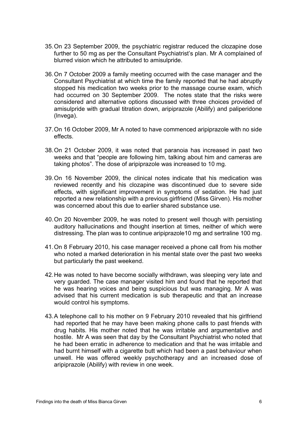- 35.On 23 September 2009, the psychiatric registrar reduced the clozapine dose further to 50 mg as per the Consultant Psychiatrist's plan. Mr A complained of blurred vision which he attributed to amisulpride.
- 36.On 7 October 2009 a family meeting occurred with the case manager and the Consultant Psychiatrist at which time the family reported that he had abruptly stopped his medication two weeks prior to the massage course exam, which had occurred on 30 September 2009. The notes state that the risks were considered and alternative options discussed with three choices provided of amisulpride with gradual titration down, aripiprazole (Abilify) and paliperidone (lnvega).
- 37.On 16 October 2009, Mr A noted to have commenced aripiprazole with no side effects.
- 38.On 21 October 2009, it was noted that paranoia has increased in past two weeks and that "people are following him, talking about him and cameras are taking photos". The dose of aripiprazole was increased to 10 mg.
- 39.On 16 November 2009, the clinical notes indicate that his medication was reviewed recently and his clozapine was discontinued due to severe side effects, with significant improvement in symptoms of sedation. He had just reported a new relationship with a previous girlfriend (Miss Girven). His mother was concerned about this due to earlier shared substance use.
- 40.On 20 November 2009, he was noted to present well though with persisting auditory hallucinations and thought insertion at times, neither of which were distressing. The plan was to continue aripiprazole10 mg and sertraline 100 mg.
- 41.On 8 February 2010, his case manager received a phone call from his mother who noted a marked deterioration in his mental state over the past two weeks but particularly the past weekend.
- 42.He was noted to have become socially withdrawn, was sleeping very late and very guarded. The case manager visited him and found that he reported that he was hearing voices and being suspicious but was managing. Mr A was advised that his current medication is sub therapeutic and that an increase would control his symptoms.
- 43.A telephone call to his mother on 9 February 2010 revealed that his girlfriend had reported that he may have been making phone calls to past friends with drug habits. His mother noted that he was irritable and argumentative and hostile. Mr A was seen that day by the Consultant Psychiatrist who noted that he had been erratic in adherence to medication and that he was irritable and had burnt himself with a cigarette butt which had been a past behaviour when unwell. He was offered weekly psychotherapy and an increased dose of aripiprazole (Abilify) with review in one week.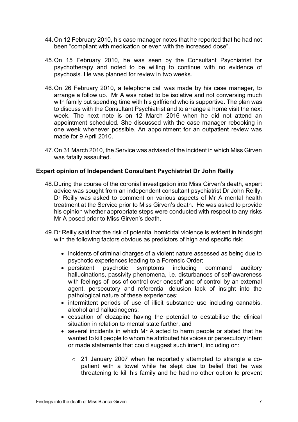- 44.On 12 February 2010, his case manager notes that he reported that he had not been "compliant with medication or even with the increased dose".
- 45.On 15 February 2010, he was seen by the Consultant Psychiatrist for psychotherapy and noted to be willing to continue with no evidence of psychosis. He was planned for review in two weeks.
- 46.On 26 February 2010, a telephone call was made by his case manager, to arrange a follow up. Mr A was noted to be isolative and not conversing much with family but spending time with his girlfriend who is supportive. The plan was to discuss with the Consultant Psychiatrist and to arrange a home visit the next week. The next note is on 12 March 2016 when he did not attend an appointment scheduled. She discussed with the case manager rebooking in one week whenever possible. An appointment for an outpatient review was made for 9 April 2010.
- 47.On 31 March 2010, the Service was advised of the incident in which Miss Girven was fatally assaulted.

#### **Expert opinion of Independent Consultant Psychiatrist Dr John Reilly**

- 48.During the course of the coronial investigation into Miss Girven's death, expert advice was sought from an independent consultant psychiatrist Dr John Reilly. Dr Reilly was asked to comment on various aspects of Mr A mental health treatment at the Service prior to Miss Girven's death. He was asked to provide his opinion whether appropriate steps were conducted with respect to any risks Mr A posed prior to Miss Girven's death.
- 49.Dr Reilly said that the risk of potential homicidal violence is evident in hindsight with the following factors obvious as predictors of high and specific risk:
	- incidents of criminal charges of a violent nature assessed as being due to psychotic experiences leading to a Forensic Order;
	- persistent psychotic symptoms including command auditory hallucinations, passivity phenomena, i.e. disturbances of self-awareness with feelings of loss of control over oneself and of control by an external agent, persecutory and referential delusion lack of insight into the pathological nature of these experiences;
	- intermittent periods of use of illicit substance use including cannabis, alcohol and hallucinogens;
	- cessation of clozapine having the potential to destabilise the clinical situation in relation to mental state further, and
	- several incidents in which Mr A acted to harm people or stated that he wanted to kill people to whom he attributed his voices or persecutory intent or made statements that could suggest such intent, including on:
		- o 21 January 2007 when he reportedly attempted to strangle a copatient with a towel while he slept due to belief that he was threatening to kill his family and he had no other option to prevent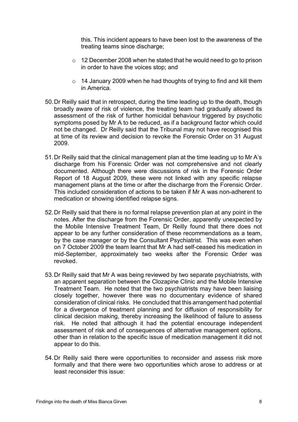this. This incident appears to have been lost to the awareness of the treating teams since discharge;

- o 12 December 2008 when he stated that he would need to go to prison in order to have the voices stop; and
- $\circ$  14 January 2009 when he had thoughts of trying to find and kill them in America.
- 50.Dr Reilly said that in retrospect, during the time leading up to the death, though broadly aware of risk of violence, the treating team had gradually allowed its assessment of the risk of further homicidal behaviour triggered by psychotic symptoms posed by Mr A to be reduced, as if a background factor which could not be changed. Dr Reilly said that the Tribunal may not have recognised this at time of its review and decision to revoke the Forensic Order on 31 August 2009.
- 51.Dr Reilly said that the clinical management plan at the time leading up to Mr A's discharge from his Forensic Order was not comprehensive and not clearly documented. Although there were discussions of risk in the Forensic Order Report of 18 August 2009, these were not linked with any specific relapse management plans at the time or after the discharge from the Forensic Order. This included consideration of actions to be taken if Mr A was non-adherent to medication or showing identified relapse signs.
- 52.Dr Reilly said that there is no formal relapse prevention plan at any point in the notes. After the discharge from the Forensic Order, apparently unexpected by the Mobile Intensive Treatment Team, Dr Reilly found that there does not appear to be any further consideration of these recommendations as a team, by the case manager or by the Consultant Psychiatrist. This was even when on 7 October 2009 the team learnt that Mr A had self-ceased his medication in mid-September, approximately two weeks after the Forensic Order was revoked.
- 53.Dr Reilly said that Mr A was being reviewed by two separate psychiatrists, with an apparent separation between the Clozapine Clinic and the Mobile Intensive Treatment Team. He noted that the two psychiatrists may have been liaising closely together, however there was no documentary evidence of shared consideration of clinical risks. He concluded that this arrangement had potential for a divergence of treatment planning and for diffusion of responsibility for clinical decision making, thereby increasing the likelihood of failure to assess risk. He noted that although it had the potential encourage independent assessment of risk and of consequences of alternative management options, other than in relation to the specific issue of medication management it did not appear to do this.
- 54.Dr Reilly said there were opportunities to reconsider and assess risk more formally and that there were two opportunities which arose to address or at least reconsider this issue: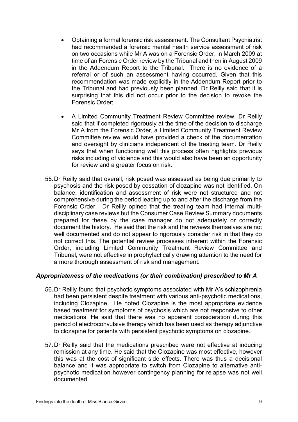- Obtaining a formal forensic risk assessment. The Consultant Psychiatrist had recommended a forensic mental health service assessment of risk on two occasions while Mr A was on a Forensic Order, in March 2009 at time of an Forensic Order review by the Tribunal and then in August 2009 in the Addendum Report to the Tribunal. There is no evidence of a referral or of such an assessment having occurred. Given that this recommendation was made explicitly in the Addendum Report prior to the Tribunal and had previously been planned, Dr Reilly said that it is surprising that this did not occur prior to the decision to revoke the Forensic Order;
- A Limited Community Treatment Review Committee review. Dr Reilly said that if completed rigorously at the time of the decision to discharge Mr A from the Forensic Order, a Limited Community Treatment Review Committee review would have provided a check of the documentation and oversight by clinicians independent of the treating team. Dr Reilly says that when functioning well this process often highlights previous risks including of violence and this would also have been an opportunity for review and a greater focus on risk.
- 55.Dr Reilly said that overall, risk posed was assessed as being due primarily to psychosis and the risk posed by cessation of clozapine was not identified. On balance, identification and assessment of risk were not structured and not comprehensive during the period leading up to and after the discharge from the Forensic Order. Dr Reilly opined that the treating team had internal multidisciplinary case reviews but the Consumer Case Review Summary documents prepared for these by the case manager do not adequately or correctly document the history. He said that the risk and the reviews themselves are not well documented and do not appear to rigorously consider risk in that they do not correct this. The potential review processes inherent within the Forensic Order, including Limited Community Treatment Review Committee and Tribunal, were not effective in prophylactically drawing attention to the need for a more thorough assessment of risk and management.

#### *Appropriateness of the medications (or their combination) prescribed to Mr A*

- 56.Dr Reilly found that psychotic symptoms associated with Mr A's schizophrenia had been persistent despite treatment with various anti-psychotic medications, including Clozapine. He noted Clozapine is the most appropriate evidence based treatment for symptoms of psychosis which are not responsive to other medications. He said that there was no apparent consideration during this period of electroconvulsive therapy which has been used as therapy adjunctive to clozapine for patients with persistent psychotic symptoms on clozapine.
- 57.Dr Reilly said that the medications prescribed were not effective at inducing remission at any time. He said that the Clozapine was most effective, however this was at the cost of significant side effects. There was thus a decisional balance and it was appropriate to switch from Clozapine to alternative antipsychotic medication however contingency planning for relapse was not well documented.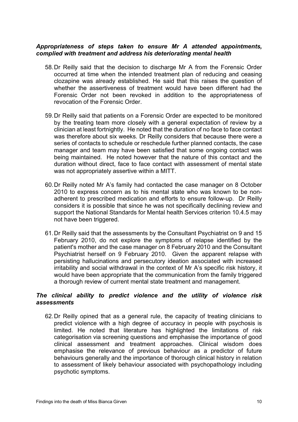#### *Appropriateness of steps taken to ensure Mr A attended appointments, complied with treatment and address his deteriorating mental health*

- 58.Dr Reilly said that the decision to discharge Mr A from the Forensic Order occurred at time when the intended treatment plan of reducing and ceasing clozapine was already established. He said that this raises the question of whether the assertiveness of treatment would have been different had the Forensic Order not been revoked in addition to the appropriateness of revocation of the Forensic Order.
- 59.Dr Reilly said that patients on a Forensic Order are expected to be monitored by the treating team more closely with a general expectation of review by a clinician at least fortnightly. He noted that the duration of no face to face contact was therefore about six weeks. Dr Reilly considers that because there were a series of contacts to schedule or reschedule further planned contacts, the case manager and team may have been satisfied that some ongoing contact was being maintained. He noted however that the nature of this contact and the duration without direct, face to face contact with assessment of mental state was not appropriately assertive within a MITT.
- 60.Dr Reilly noted Mr A's family had contacted the case manager on 8 October 2010 to express concern as to his mental state who was known to be nonadherent to prescribed medication and efforts to ensure follow-up. Dr Reilly considers it is possible that since he was not specifically declining review and support the National Standards for Mental health Services criterion 10.4.5 may not have been triggered.
- 61.Dr Reilly said that the assessments by the Consultant Psychiatrist on 9 and 15 February 2010, do not explore the symptoms of relapse identified by the patient's mother and the case manager on 8 February 2010 and the Consultant Psychiatrist herself on 9 February 2010. Given the apparent relapse with persisting hallucinations and persecutory ideation associated with increased irritability and social withdrawal in the context of Mr A's specific risk history, it would have been appropriate that the communication from the family triggered a thorough review of current mental state treatment and management.

#### *The clinical ability to predict violence and the utility of violence risk assessments*

62.Dr Reilly opined that as a general rule, the capacity of treating clinicians to predict violence with a high degree of accuracy in people with psychosis is limited. He noted that literature has highlighted the limitations of risk categorisation via screening questions and emphasise the importance of good clinical assessment and treatment approaches. Clinical wisdom does emphasise the relevance of previous behaviour as a predictor of future behaviours generally and the importance of thorough clinical history in relation to assessment of likely behaviour associated with psychopathology including psychotic symptoms.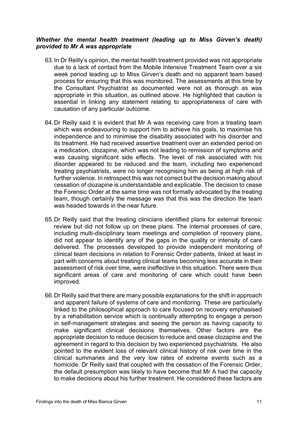#### *Whether the mental health treatment (leading up to Miss Girven's death) provided to Mr A was appropriate*

- 63.In Dr Reilly's opinion, the mental health treatment provided was not appropriate due to a lack of contact from the Mobile Intensive Treatment Team over a six week period leading up to Miss Girven's death and no apparent team based process for ensuring that this was monitored. The assessments at this time by the Consultant Psychiatrist as documented were not as thorough as was appropriate in this situation, as outlined above. He highlighted that caution is essential in linking any statement relating to appropriateness of care with causation of any particular outcome.
- 64.Dr Reilly said it is evident that Mr A was receiving care from a treating team which was endeavouring to support him to achieve his goals, to maximise his independence and to minimise the disability associated with his disorder and its treatment. He had received assertive treatment over an extended period on a medication, clozapine, which was not leading to remission of symptoms and was causing significant side effects. The level of risk associated with his disorder appeared to be reduced and the team, including two experienced treating psychiatrists, were no longer recognising him as being at high risk of further violence. In retrospect this was not correct but the decision making about cessation of clozapine is understandable and explicable. The decision to cease the Forensic Order at the same time was not formally advocated by the treating team, though certainly the message was that this was the direction the team was headed towards in the near future.
- 65.Dr Reilly said that the treating clinicians identified plans for external forensic review but did not follow up on these plans. The internal processes of care, including multi-disciplinary team meetings and completion of recovery plans, did not appear to identify any of the gaps in the quality or intensity of care delivered. The processes developed to provide independent monitoring of clinical team decisions in relation to Forensic Order patients, linked at least in part with concerns about treating clinical teams becoming less accurate in their assessment of risk over time, were ineffective in this situation. There were thus significant areas of care and monitoring of care which could have been improved.
- 66.Dr Reilly said that there are many possible explanations for the shift in approach and apparent failure of systems of care and monitoring. These are particularly linked to the philosophical approach to care focused on recovery emphasised by a rehabilitation service which is continually attempting to engage a person in self-management strategies and seeing the person as having capacity to make significant clinical decisions themselves. Other factors are the appropriate decision to reduce decision to reduce and cease clozapine and the agreement in regard to this decision by two experienced psychiatrists. He also pointed to the evident loss of relevant clinical history of risk over time in the clinical summaries and the very low rates of extreme events such as a homicide. Dr Reilly said that coupled with the cessation of the Forensic Order, the default presumption was likely to have become that Mr A had the capacity to make decisions about his further treatment. He considered these factors are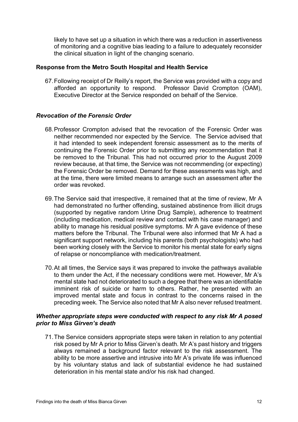likely to have set up a situation in which there was a reduction in assertiveness of monitoring and a cognitive bias leading to a failure to adequately reconsider the clinical situation in light of the changing scenario.

#### **Response from the Metro South Hospital and Health Service**

67.Following receipt of Dr Reilly's report, the Service was provided with a copy and afforded an opportunity to respond. Professor David Crompton (OAM), Executive Director at the Service responded on behalf of the Service.

#### *Revocation of the Forensic Order*

- 68.Professor Crompton advised that the revocation of the Forensic Order was neither recommended nor expected by the Service. The Service advised that it had intended to seek independent forensic assessment as to the merits of continuing the Forensic Order prior to submitting any recommendation that it be removed to the Tribunal. This had not occurred prior to the August 2009 review because, at that time, the Service was not recommending (or expecting) the Forensic Order be removed. Demand for these assessments was high, and at the time, there were limited means to arrange such an assessment after the order was revoked.
- 69.The Service said that irrespective, it remained that at the time of review, Mr A had demonstrated no further offending, sustained abstinence from illicit drugs (supported by negative random Urine Drug Sample), adherence to treatment (including medication, medical review and contact with his case manager) and ability to manage his residual positive symptoms. Mr A gave evidence of these matters before the Tribunal. The Tribunal were also informed that Mr A had a significant support network, including his parents (both psychologists) who had been working closely with the Service to monitor his mental state for early signs of relapse or noncompliance with medication/treatment.
- 70.At all times, the Service says it was prepared to invoke the pathways available to them under the Act, if the necessary conditions were met. However, Mr A's mental state had not deteriorated to such a degree that there was an identifiable imminent risk of suicide or harm to others. Rather, he presented with an improved mental state and focus in contrast to the concerns raised in the preceding week. The Service also noted that Mr A also never refused treatment.

#### *Whether appropriate steps were conducted with respect to any risk Mr A posed prior to Miss Girven's death*

71.The Service considers appropriate steps were taken in relation to any potential risk posed by Mr A prior to Miss Girven's death. Mr A's past history and triggers always remained a background factor relevant to the risk assessment. The ability to be more assertive and intrusive into Mr A's private life was influenced by his voluntary status and lack of substantial evidence he had sustained deterioration in his mental state and/or his risk had changed.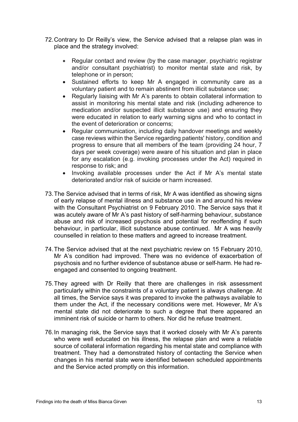- 72.Contrary to Dr Reilly's view, the Service advised that a relapse plan was in place and the strategy involved:
	- Regular contact and review (by the case manager, psychiatric registrar and/or consultant psychiatrist) to monitor mental state and risk, by telephone or in person;
	- Sustained efforts to keep Mr A engaged in community care as a voluntary patient and to remain abstinent from illicit substance use;
	- Regularly liaising with Mr A's parents to obtain collateral information to assist in monitoring his mental state and risk (including adherence to medication and/or suspected illicit substance use) and ensuring they were educated in relation to early warning signs and who to contact in the event of deterioration or concerns;
	- Regular communication, including daily handover meetings and weekly case reviews within the Service regarding patients' history, condition and progress to ensure that all members of the team (providing 24 hour, 7 days per week coverage) were aware of his situation and plan in place for any escalation (e.g. invoking processes under the Act) required in response to risk; and
	- Invoking available processes under the Act if Mr A's mental state deteriorated and/or risk of suicide or harm increased.
- 73.The Service advised that in terms of risk, Mr A was identified as showing signs of early relapse of mental illness and substance use in and around his review with the Consultant Psychiatrist on 9 February 2010. The Service says that it was acutely aware of Mr A's past history of self-harming behaviour, substance abuse and risk of increased psychosis and potential for reoffending if such behaviour, in particular, illicit substance abuse continued. Mr A was heavily counselled in relation to these matters and agreed to increase treatment.
- 74.The Service advised that at the next psychiatric review on 15 February 2010, Mr A's condition had improved. There was no evidence of exacerbation of psychosis and no further evidence of substance abuse or self-harm. He had reengaged and consented to ongoing treatment.
- 75.They agreed with Dr Reilly that there are challenges in risk assessment particularly within the constraints of a voluntary patient is always challenge. At all times, the Service says it was prepared to invoke the pathways available to them under the Act, if the necessary conditions were met. However, Mr A's mental state did not deteriorate to such a degree that there appeared an imminent risk of suicide or harm to others. Nor did he refuse treatment.
- 76.In managing risk, the Service says that it worked closely with Mr A's parents who were well educated on his illness, the relapse plan and were a reliable source of collateral information regarding his mental state and compliance with treatment. They had a demonstrated history of contacting the Service when changes in his mental state were identified between scheduled appointments and the Service acted promptly on this information.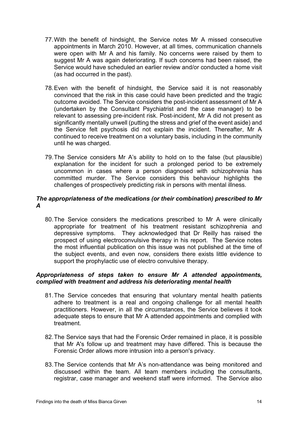- 77.With the benefit of hindsight, the Service notes Mr A missed consecutive appointments in March 2010. However, at all times, communication channels were open with Mr A and his family. No concerns were raised by them to suggest Mr A was again deteriorating. If such concerns had been raised, the Service would have scheduled an earlier review and/or conducted a home visit (as had occurred in the past).
- 78.Even with the benefit of hindsight, the Service said it is not reasonably convinced that the risk in this case could have been predicted and the tragic outcome avoided. The Service considers the post-incident assessment of Mr A (undertaken by the Consultant Psychiatrist and the case manager) to be relevant to assessing pre-incident risk. Post-incident, Mr A did not present as significantly mentally unwell (putting the stress and grief of the event aside) and the Service felt psychosis did not explain the incident. Thereafter, Mr A continued to receive treatment on a voluntary basis, including in the community until he was charged.
- 79.The Service considers Mr A's ability to hold on to the false (but plausible) explanation for the incident for such a prolonged period to be extremely uncommon in cases where a person diagnosed with schizophrenia has committed murder. The Service considers this behaviour highlights the challenges of prospectively predicting risk in persons with mental illness.

#### *The appropriateness of the medications (or their combination) prescribed to Mr A*

80.The Service considers the medications prescribed to Mr A were clinically appropriate for treatment of his treatment resistant schizophrenia and depressive symptoms. They acknowledged that Dr Reilly has raised the prospect of using electroconvulsive therapy in his report. The Service notes the most influential publication on this issue was not published at the time of the subject events, and even now, considers there exists little evidence to support the prophylactic use of electro convulsive therapy.

#### *Appropriateness of steps taken to ensure Mr A attended appointments, complied with treatment and address his deteriorating mental health*

- 81.The Service concedes that ensuring that voluntary mental health patients adhere to treatment is a real and ongoing challenge for all mental health practitioners. However, in all the circumstances, the Service believes it took adequate steps to ensure that Mr A attended appointments and complied with treatment.
- 82.The Service says that had the Forensic Order remained in place, it is possible that Mr A's follow up and treatment may have differed. This is because the Forensic Order allows more intrusion into a person's privacy.
- 83.The Service contends that Mr A's non-attendance was being monitored and discussed within the team. All team members including the consultants, registrar, case manager and weekend staff were informed. The Service also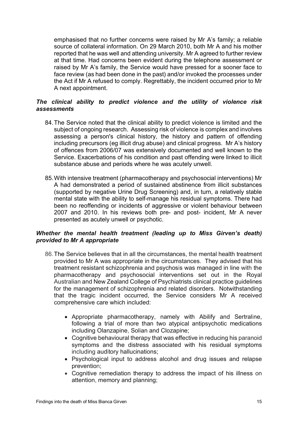emphasised that no further concerns were raised by Mr A's family; a reliable source of collateral information. On 29 March 2010, both Mr A and his mother reported that he was well and attending university. Mr A agreed to further review at that time. Had concerns been evident during the telephone assessment or raised by Mr A's family, the Service would have pressed for a sooner face to face review (as had been done in the past) and/or invoked the processes under the Act if Mr A refused to comply. Regrettably, the incident occurred prior to Mr A next appointment.

#### *The clinical ability to predict violence and the utility of violence risk assessments*

- 84.The Service noted that the clinical ability to predict violence is limited and the subject of ongoing research. Assessing risk of violence is complex and involves assessing a person's clinical history, the history and pattern of offending including precursors (eg illicit drug abuse) and clinical progress. Mr A's history of offences from 2006/07 was extensively documented and well known to the Service. Exacerbations of his condition and past offending were linked to illicit substance abuse and periods where he was acutely unwell.
- 85.With intensive treatment (pharmacotherapy and psychosocial interventions) Mr A had demonstrated a period of sustained abstinence from illicit substances (supported by negative Urine Drug Screening) and, in turn, a relatively stable mental state with the ability to self-manage his residual symptoms. There had been no reoffending or incidents of aggressive or violent behaviour between 2007 and 2010. In his reviews both pre- and post- incident, Mr A never presented as acutely unwell or psychotic.

#### *Whether the mental health treatment (leading up to Miss Girven's death) provided to Mr A appropriate*

- 86.The Service believes that in all the circumstances, the mental health treatment provided to Mr A was appropriate in the circumstances. They advised that his treatment resistant schizophrenia and psychosis was managed in line with the pharmacotherapy and psychosocial interventions set out in the Royal Australian and New Zealand College of Psychiatrists clinical practice guidelines for the management of schizophrenia and related disorders. Notwithstanding that the tragic incident occurred, the Service considers Mr A received comprehensive care which included:
	- Appropriate pharmacotherapy, namely with Abilify and Sertraline, following a trial of more than two atypical antipsychotic medications including Olanzapine, Solian and Clozapine;
	- Cognitive behavioural therapy that was effective in reducing his paranoid symptoms and the distress associated with his residual symptoms including auditory hallucinations;
	- Psychological input to address alcohol and drug issues and relapse prevention;
	- Cognitive remediation therapy to address the impact of his illness on attention, memory and planning;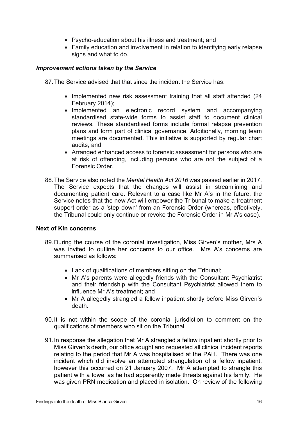- Psycho-education about his illness and treatment; and
- Family education and involvement in relation to identifying early relapse signs and what to do.

#### *Improvement actions taken by the Service*

87.The Service advised that that since the incident the Service has:

- Implemented new risk assessment training that all staff attended (24 February 2014);
- Implemented an electronic record system and accompanying standardised state-wide forms to assist staff to document clinical reviews. These standardised forms include formal relapse prevention plans and form part of clinical governance. Additionally, morning team meetings are documented. This initiative is supported by regular chart audits; and
- Arranged enhanced access to forensic assessment for persons who are at risk of offending, including persons who are not the subject of a Forensic Order.
- 88.The Service also noted the *Mental Health Act 2016* was passed earlier in 2017. The Service expects that the changes will assist in streamlining and documenting patient care. Relevant to a case like Mr A's in the future, the Service notes that the new Act will empower the Tribunal to make a treatment support order as a 'step down' from an Forensic Order (whereas, effectively, the Tribunal could only continue or revoke the Forensic Order in Mr A's case).

#### **Next of Kin concerns**

- 89.During the course of the coronial investigation, Miss Girven's mother, Mrs A was invited to outline her concerns to our office. Mrs A's concerns are summarised as follows:
	- Lack of qualifications of members sitting on the Tribunal;
	- Mr A's parents were allegedly friends with the Consultant Psychiatrist and their friendship with the Consultant Psychiatrist allowed them to influence Mr A's treatment; and
	- Mr A allegedly strangled a fellow inpatient shortly before Miss Girven's death.
- 90.It is not within the scope of the coronial jurisdiction to comment on the qualifications of members who sit on the Tribunal.
- 91.In response the allegation that Mr A strangled a fellow inpatient shortly prior to Miss Girven's death, our office sought and requested all clinical incident reports relating to the period that Mr A was hospitalised at the PAH. There was one incident which did involve an attempted strangulation of a fellow inpatient, however this occurred on 21 January 2007. Mr A attempted to strangle this patient with a towel as he had apparently made threats against his family. He was given PRN medication and placed in isolation. On review of the following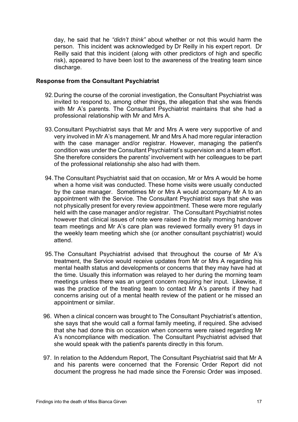day, he said that he *"didn't think"* about whether or not this would harm the person. This incident was acknowledged by Dr Reilly in his expert report. Dr Reilly said that this incident (along with other predictors of high and specific risk), appeared to have been lost to the awareness of the treating team since discharge.

#### **Response from the Consultant Psychiatrist**

- 92.During the course of the coronial investigation, the Consultant Psychiatrist was invited to respond to, among other things, the allegation that she was friends with Mr A's parents. The Consultant Psychiatrist maintains that she had a professional relationship with Mr and Mrs A.
- 93.Consultant Psychiatrist says that Mr and Mrs A were very supportive of and very involved in Mr A's management. Mr and Mrs A had more regular interaction with the case manager and/or registrar. However, managing the patient's condition was under the Consultant Psychiatrist's supervision and a team effort. She therefore considers the parents' involvement with her colleagues to be part of the professional relationship she also had with them.
- 94.The Consultant Psychiatrist said that on occasion, Mr or Mrs A would be home when a home visit was conducted. These home visits were usually conducted by the case manager. Sometimes Mr or Mrs A would accompany Mr A to an appointment with the Service. The Consultant Psychiatrist says that she was not physically present for every review appointment. These were more regularly held with the case manager and/or registrar. The Consultant Psychiatrist notes however that clinical issues of note were raised in the daily morning handover team meetings and Mr A's care plan was reviewed formally every 91 days in the weekly team meeting which she (or another consultant psychiatrist) would attend.
- 95.The Consultant Psychiatrist advised that throughout the course of Mr A's treatment, the Service would receive updates from Mr or Mrs A regarding his mental health status and developments or concerns that they may have had at the time. Usually this information was relayed to her during the morning team meetings unless there was an urgent concern requiring her input. Likewise, it was the practice of the treating team to contact Mr A's parents if they had concerns arising out of a mental health review of the patient or he missed an appointment or similar.
- 96. When a clinical concern was brought to The Consultant Psychiatrist's attention, she says that she would call a formal family meeting, if required. She advised that she had done this on occasion when concerns were raised regarding Mr A's noncompliance with medication. The Consultant Psychiatrist advised that she would speak with the patient's parents directly in this forum.
- 97. In relation to the Addendum Report, The Consultant Psychiatrist said that Mr A and his parents were concerned that the Forensic Order Report did not document the progress he had made since the Forensic Order was imposed.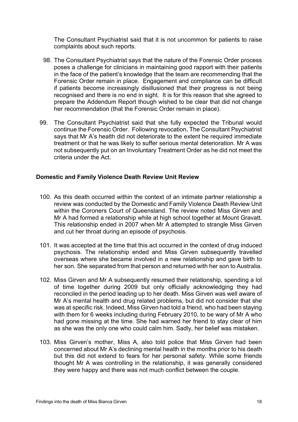The Consultant Psychiatrist said that it is not uncommon for patients to raise complaints about such reports.

- 98. The Consultant Psychiatrist says that the nature of the Forensic Order process poses a challenge for clinicians in maintaining good rapport with their patients in the face of the patient's knowledge that the team are recommending that the Forensic Order remain in place. Engagement and compliance can be difficult if patients become increasingly disillusioned that their progress is not being recognised and there is no end in sight. It is for this reason that she agreed to prepare the Addendum Report though wished to be clear that did not change her recommendation (that the Forensic Order remain in place).
- 99. The Consultant Psychiatrist said that she fully expected the Tribunal would continue the Forensic Order. Following revocation, The Consultant Psychiatrist says that Mr A's health did not deteriorate to the extent he required immediate treatment or that he was likely to suffer serious mental deterioration. Mr A was not subsequently put on an Involuntary Treatment Order as he did not meet the criteria under the Act.

#### **Domestic and Family Violence Death Review Unit Review**

- 100. As this death occurred within the context of an intimate partner relationship a review was conducted by the Domestic and Family Violence Death Review Unit within the Coroners Court of Queensland. The review noted Miss Girven and Mr A had formed a relationship while at high school together at Mount Gravatt. This relationship ended in 2007 when Mr A attempted to strangle Miss Girven and cut her throat during an episode of psychosis.
- 101. It was accepted at the time that this act occurred in the context of drug induced psychosis. The relationship ended and Miss Girven subsequently travelled overseas where she became involved in a new relationship and gave birth to her son. She separated from that person and returned with her son to Australia.
- 102. Miss Girven and Mr A subsequently resumed their relationship, spending a lot of time together during 2009 but only officially acknowledging they had reconciled in the period leading up to her death. Miss Girven was well aware of Mr A's mental health and drug related problems, but did not consider that she was at specific risk. Indeed, Miss Girven had told a friend, who had been staying with them for 6 weeks including during February 2010, to be wary of Mr A who had gone missing at the time. She had warned her friend to stay clear of him as she was the only one who could calm him. Sadly, her belief was mistaken.
- 103. Miss Girven's mother, Miss A, also told police that Miss Girven had been concerned about Mr A's declining mental health in the months prior to his death but this did not extend to fears for her personal safety. While some friends thought Mr A was controlling in the relationship, it was generally considered they were happy and there was not much conflict between the couple.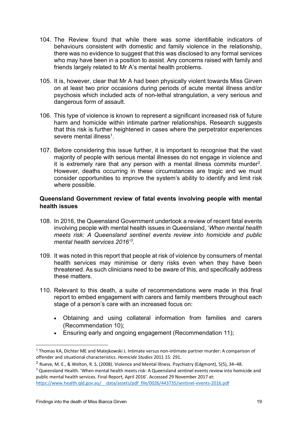- 104. The Review found that while there was some identifiable indicators of behaviours consistent with domestic and family violence in the relationship, there was no evidence to suggest that this was disclosed to any formal services who may have been in a position to assist. Any concerns raised with family and friends largely related to Mr A's mental health problems.
- 105. It is, however, clear that Mr A had been physically violent towards Miss Girven on at least two prior occasions during periods of acute mental illness and/or psychosis which included acts of non-lethal strangulation, a very serious and dangerous form of assault.
- 106. This type of violence is known to represent a significant increased risk of future harm and homicide within intimate partner relationships. Research suggests that this risk is further heightened in cases where the perpetrator experiences severe mental illness<sup>1</sup>
- 107. Before considering this issue further, it is important to recognise that the vast majority of people with serious mental illnesses do not engage in violence and it is extremely rare that any person with a mental illness commits murder[2.](#page-20-1) However, deaths occurring in these circumstances are tragic and we must consider opportunities to improve the system's ability to identify and limit risk where possible.

#### **Queensland Government review of fatal events involving people with mental health issues**

- 108. In 2016, the Queensland Government undertook a review of recent fatal events involving people with mental health issues in Queensland, '*When mental health meets risk: A Queensland sentinel events review into homicide and public mental health services 2016'[3](#page-20-2)* .
- 109. It was noted in this report that people at risk of violence by consumers of mental health services may minimise or deny risks even when they have been threatened. As such clinicians need to be aware of this, and specifically address these matters.
- 110. Relevant to this death, a suite of recommendations were made in this final report to embed engagement with carers and family members throughout each stage of a person's care with an increased focus on:
	- Obtaining and using collateral information from families and carers (Recommendation 10);
	- Ensuring early and ongoing engagement (Recommendation 11);

<span id="page-20-0"></span><sup>1</sup> Thomas KA, Dichter ME and Matejkowski J. Intimate versus non-intimate partner murder: A comparison of offender and situational characteristics. *Homicide Studies* 2011 15: 291.

<span id="page-20-1"></span><sup>2</sup> Rueve, M. E., & Welton, R. S. (2008). Violence and Mental Illness. Psychiatry (Edgmont), 5(5), 34–48.

<span id="page-20-2"></span><sup>3</sup> Queensland Health. 'When mental health meets risk: A Queensland sentinel events review into homicide and public mental health services. Final Report, April 2016'. Accessed 29 November 2017 at: https://www.health.qld.gov.au/ data/assets/pdf\_file/0026/443735/sentinel-events-2016.pdf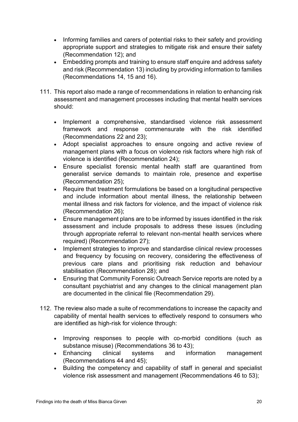- Informing families and carers of potential risks to their safety and providing appropriate support and strategies to mitigate risk and ensure their safety (Recommendation 12); and
- Embedding prompts and training to ensure staff enquire and address safety and risk (Recommendation 13) including by providing information to families (Recommendations 14, 15 and 16).
- 111. This report also made a range of recommendations in relation to enhancing risk assessment and management processes including that mental health services should:
	- Implement a comprehensive, standardised violence risk assessment framework and response commensurate with the risk identified (Recommendations 22 and 23);
	- Adopt specialist approaches to ensure ongoing and active review of management plans with a focus on violence risk factors where high risk of violence is identified (Recommendation 24);
	- Ensure specialist forensic mental health staff are quarantined from generalist service demands to maintain role, presence and expertise (Recommendation 25);
	- Require that treatment formulations be based on a longitudinal perspective and include information about mental illness, the relationship between mental illness and risk factors for violence, and the impact of violence risk (Recommendation 26);
	- Ensure management plans are to be informed by issues identified in the risk assessment and include proposals to address these issues (including through appropriate referral to relevant non-mental health services where required) (Recommendation 27);
	- Implement strategies to improve and standardise clinical review processes and frequency by focusing on recovery, considering the effectiveness of previous care plans and prioritising risk reduction and behaviour stabilisation (Recommendation 28); and
	- Ensuring that Community Forensic Outreach Service reports are noted by a consultant psychiatrist and any changes to the clinical management plan are documented in the clinical file (Recommendation 29).
- 112. The review also made a suite of recommendations to increase the capacity and capability of mental health services to effectively respond to consumers who are identified as high-risk for violence through:
	- Improving responses to people with co-morbid conditions (such as substance misuse) (Recommendations 36 to 43);
	- Enhancing clinical systems and information management (Recommendations 44 and 45);
	- Building the competency and capability of staff in general and specialist violence risk assessment and management (Recommendations 46 to 53);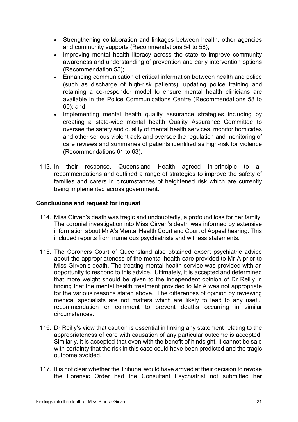- Strengthening collaboration and linkages between health, other agencies and community supports (Recommendations 54 to 56);
- Improving mental health literacy across the state to improve community awareness and understanding of prevention and early intervention options (Recommendation 55);
- Enhancing communication of critical information between health and police (such as discharge of high-risk patients), updating police training and retaining a co-responder model to ensure mental health clinicians are available in the Police Communications Centre (Recommendations 58 to 60); and
- Implementing mental health quality assurance strategies including by creating a state-wide mental health Quality Assurance Committee to oversee the safety and quality of mental health services, monitor homicides and other serious violent acts and oversee the regulation and monitoring of care reviews and summaries of patients identified as high-risk for violence (Recommendations 61 to 63).
- 113. In their response, Queensland Health agreed in-principle to all recommendations and outlined a range of strategies to improve the safety of families and carers in circumstances of heightened risk which are currently being implemented across government.

#### **Conclusions and request for inquest**

- 114. Miss Girven's death was tragic and undoubtedly, a profound loss for her family. The coronial investigation into Miss Girven's death was informed by extensive information about Mr A's Mental Health Court and Court of Appeal hearing. This included reports from numerous psychiatrists and witness statements.
- 115. The Coroners Court of Queensland also obtained expert psychiatric advice about the appropriateness of the mental health care provided to Mr A prior to Miss Girven's death. The treating mental health service was provided with an opportunity to respond to this advice. Ultimately, it is accepted and determined that more weight should be given to the independent opinion of Dr Reilly in finding that the mental health treatment provided to Mr A was not appropriate for the various reasons stated above. The differences of opinion by reviewing medical specialists are not matters which are likely to lead to any useful recommendation or comment to prevent deaths occurring in similar circumstances.
- 116. Dr Reilly's view that caution is essential in linking any statement relating to the appropriateness of care with causation of any particular outcome is accepted. Similarly, it is accepted that even with the benefit of hindsight, it cannot be said with certainty that the risk in this case could have been predicted and the tragic outcome avoided.
- 117. It is not clear whether the Tribunal would have arrived at their decision to revoke the Forensic Order had the Consultant Psychiatrist not submitted her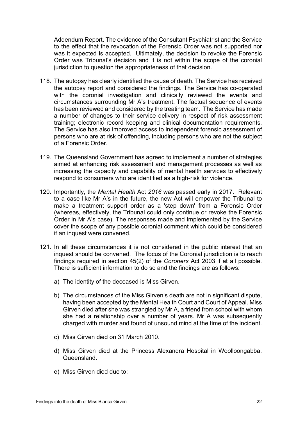Addendum Report. The evidence of the Consultant Psychiatrist and the Service to the effect that the revocation of the Forensic Order was not supported nor was it expected is accepted. Ultimately, the decision to revoke the Forensic Order was Tribunal's decision and it is not within the scope of the coronial jurisdiction to question the appropriateness of that decision.

- 118. The autopsy has clearly identified the cause of death. The Service has received the autopsy report and considered the findings. The Service has co-operated with the coronial investigation and clinically reviewed the events and circumstances surrounding Mr A's treatment. The factual sequence of events has been reviewed and considered by the treating team. The Service has made a number of changes to their service delivery in respect of risk assessment training; electronic record keeping and clinical documentation requirements. The Service has also improved access to independent forensic assessment of persons who are at risk of offending, including persons who are not the subject of a Forensic Order.
- 119. The Queensland Government has agreed to implement a number of strategies aimed at enhancing risk assessment and management processes as well as increasing the capacity and capability of mental health services to effectively respond to consumers who are identified as a high-risk for violence.
- 120. Importantly, the *Mental Health* Act *2016* was passed early in 2017. Relevant to a case like Mr A's in the future, the new Act will empower the Tribunal to make a treatment support order as a 'step down' from a Forensic Order (whereas, effectively, the Tribunal could only continue or revoke the Forensic Order in Mr A's case). The responses made and implemented by the Service cover the scope of any possible coronial comment which could be considered if an inquest were convened.
- 121. In all these circumstances it is not considered in the public interest that an inquest should be convened. The focus of the Coronial jurisdiction is to reach findings required in section 45(2) of the *Coroners* Act 2003 if at all possible. There is sufficient information to do so and the findings are as follows:
	- a) The identity of the deceased is Miss Girven.
	- b) The circumstances of the Miss Girven's death are not in significant dispute, having been accepted by the Mental Health Court and Court of Appeal. Miss Girven died after she was strangled by Mr A, a friend from school with whom she had a relationship over a number of years. Mr A was subsequently charged with murder and found of unsound mind at the time of the incident.
	- c) Miss Girven died on 31 March 2010.
	- d) Miss Girven died at the Princess Alexandra Hospital in Woolloongabba, Queensland.
	- e) Miss Girven died due to: